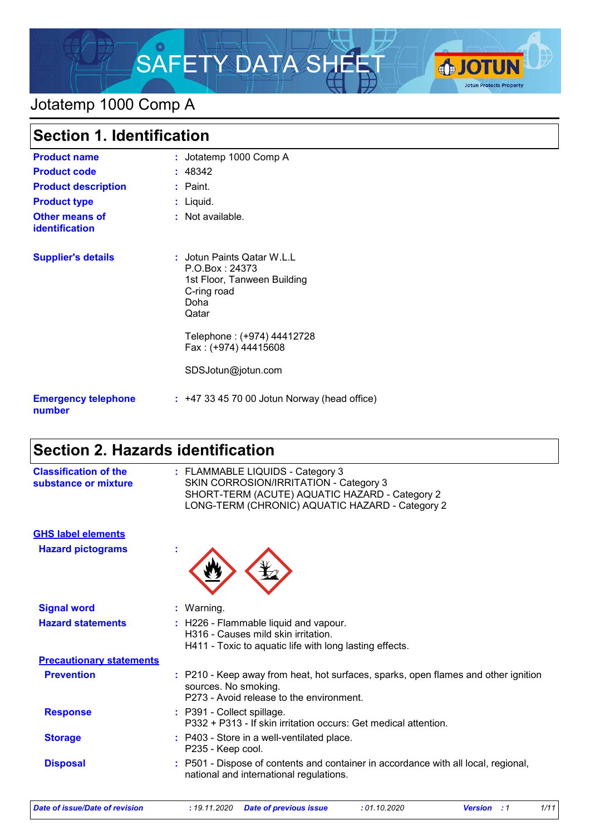

## Jotatemp 1000 Comp A

| <b>Section 1. Identification</b>        |                                                                                                                                           |  |
|-----------------------------------------|-------------------------------------------------------------------------------------------------------------------------------------------|--|
| <b>Product name</b>                     | : Jotatemp 1000 Comp A                                                                                                                    |  |
| <b>Product code</b>                     | : 48342                                                                                                                                   |  |
| <b>Product description</b>              | $:$ Paint.                                                                                                                                |  |
| <b>Product type</b>                     | : Liquid.                                                                                                                                 |  |
| <b>Other means of</b><br>identification | : Not available.                                                                                                                          |  |
| <b>Supplier's details</b>               | : Jotun Paints Qatar W.L.L<br>P.O.Box: 24373<br>1st Floor, Tanween Building<br>C-ring road<br>Doha<br>Qatar<br>Telephone: (+974) 44412728 |  |
|                                         | Fax: (+974) 44415608                                                                                                                      |  |
|                                         | SDSJotun@jotun.com                                                                                                                        |  |
| <b>Emergency telephone</b><br>number    | $: +4733457000$ Jotun Norway (head office)                                                                                                |  |

# **Section 2. Hazards identification**

| <b>Classification of the</b><br>substance or mixture | : FLAMMABLE LIQUIDS - Category 3<br>SKIN CORROSION/IRRITATION - Category 3<br>SHORT-TERM (ACUTE) AQUATIC HAZARD - Category 2<br>LONG-TERM (CHRONIC) AQUATIC HAZARD - Category 2 |
|------------------------------------------------------|---------------------------------------------------------------------------------------------------------------------------------------------------------------------------------|
| <b>GHS label elements</b>                            |                                                                                                                                                                                 |
| <b>Hazard pictograms</b>                             |                                                                                                                                                                                 |
| <b>Signal word</b>                                   | : Warning.                                                                                                                                                                      |
| <b>Hazard statements</b>                             | : H226 - Flammable liquid and vapour.<br>H316 - Causes mild skin irritation.<br>H411 - Toxic to aquatic life with long lasting effects.                                         |
| <b>Precautionary statements</b>                      |                                                                                                                                                                                 |
| <b>Prevention</b>                                    | : P210 - Keep away from heat, hot surfaces, sparks, open flames and other ignition<br>sources. No smoking.<br>P273 - Avoid release to the environment.                          |
| <b>Response</b>                                      | : P391 - Collect spillage.<br>P332 + P313 - If skin irritation occurs: Get medical attention.                                                                                   |
| <b>Storage</b>                                       | : P403 - Store in a well-ventilated place.<br>P235 - Keep cool.                                                                                                                 |
| <b>Disposal</b>                                      | : P501 - Dispose of contents and container in accordance with all local, regional,<br>national and international regulations.                                                   |
|                                                      |                                                                                                                                                                                 |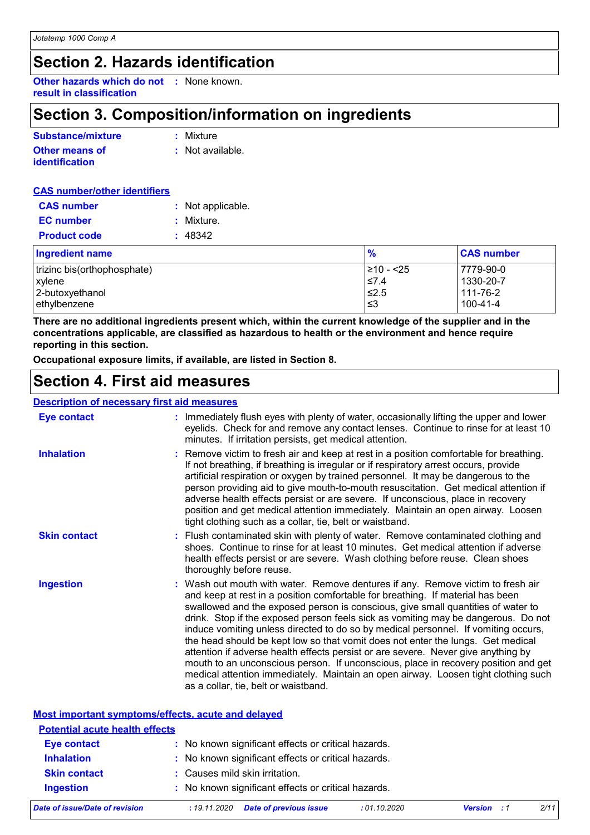## **Section 2. Hazards identification**

**Other hazards which do not :** None known. **result in classification**

# **Section 3. Composition/information on ingredients**

| Substance/mixture     | : Mixture        |
|-----------------------|------------------|
| <b>Other means of</b> | : Not available. |
| identification        |                  |

| <b>CAS number/other identifiers</b> |                   |
|-------------------------------------|-------------------|
| <b>CAS number</b>                   | : Not applicable. |
| <b>EC</b> number                    | : Mixture.        |
| <b>Product code</b>                 | : 48342           |
| <b>Ingredient name</b>              |                   |

| <b>Ingredient name</b>      | $\frac{9}{6}$ | <b>CAS number</b> |
|-----------------------------|---------------|-------------------|
| trizinc bis(orthophosphate) | 1≥10 - <25    | 7779-90-0         |
| xylene                      | $\leq 7.4$    | $1330 - 20 - 7$   |
| 2-butoxyethanol             | $\leq 2.5$    | 111-76-2          |
| ethylbenzene                | ∣≤3           | 100-41-4          |

**There are no additional ingredients present which, within the current knowledge of the supplier and in the concentrations applicable, are classified as hazardous to health or the environment and hence require reporting in this section.**

**Occupational exposure limits, if available, are listed in Section 8.**

## **Section 4. First aid measures**

**Most important symptoms/effects, acute and delayed**

#### **Description of necessary first aid measures**

| <u> 1901 i persi i se filososobar politice di un filosopheme e e</u> |                                                                                                                                                                                                                                                                                                                                                                                                                                                                                                                                                                                                                                                                                                                                                                                                                              |
|----------------------------------------------------------------------|------------------------------------------------------------------------------------------------------------------------------------------------------------------------------------------------------------------------------------------------------------------------------------------------------------------------------------------------------------------------------------------------------------------------------------------------------------------------------------------------------------------------------------------------------------------------------------------------------------------------------------------------------------------------------------------------------------------------------------------------------------------------------------------------------------------------------|
| <b>Eye contact</b>                                                   | : Immediately flush eyes with plenty of water, occasionally lifting the upper and lower<br>eyelids. Check for and remove any contact lenses. Continue to rinse for at least 10<br>minutes. If irritation persists, get medical attention.                                                                                                                                                                                                                                                                                                                                                                                                                                                                                                                                                                                    |
| <b>Inhalation</b>                                                    | : Remove victim to fresh air and keep at rest in a position comfortable for breathing.<br>If not breathing, if breathing is irregular or if respiratory arrest occurs, provide<br>artificial respiration or oxygen by trained personnel. It may be dangerous to the<br>person providing aid to give mouth-to-mouth resuscitation. Get medical attention if<br>adverse health effects persist or are severe. If unconscious, place in recovery<br>position and get medical attention immediately. Maintain an open airway. Loosen<br>tight clothing such as a collar, tie, belt or waistband.                                                                                                                                                                                                                                 |
| <b>Skin contact</b>                                                  | : Flush contaminated skin with plenty of water. Remove contaminated clothing and<br>shoes. Continue to rinse for at least 10 minutes. Get medical attention if adverse<br>health effects persist or are severe. Wash clothing before reuse. Clean shoes<br>thoroughly before reuse.                                                                                                                                                                                                                                                                                                                                                                                                                                                                                                                                          |
| <b>Ingestion</b>                                                     | : Wash out mouth with water. Remove dentures if any. Remove victim to fresh air<br>and keep at rest in a position comfortable for breathing. If material has been<br>swallowed and the exposed person is conscious, give small quantities of water to<br>drink. Stop if the exposed person feels sick as vomiting may be dangerous. Do not<br>induce vomiting unless directed to do so by medical personnel. If vomiting occurs,<br>the head should be kept low so that vomit does not enter the lungs. Get medical<br>attention if adverse health effects persist or are severe. Never give anything by<br>mouth to an unconscious person. If unconscious, place in recovery position and get<br>medical attention immediately. Maintain an open airway. Loosen tight clothing such<br>as a collar, tie, belt or waistband. |

| Date of issue/Date of revision        | <b>Date of previous issue</b><br>: 19.11.2020       | :01.10.2020 | <b>Version</b> : 1 | 2/11 |
|---------------------------------------|-----------------------------------------------------|-------------|--------------------|------|
| <b>Ingestion</b>                      | : No known significant effects or critical hazards. |             |                    |      |
| <b>Skin contact</b>                   | : Causes mild skin irritation.                      |             |                    |      |
| <b>Inhalation</b>                     | : No known significant effects or critical hazards. |             |                    |      |
| <b>Eye contact</b>                    | : No known significant effects or critical hazards. |             |                    |      |
| <b>Potential acute health effects</b> |                                                     |             |                    |      |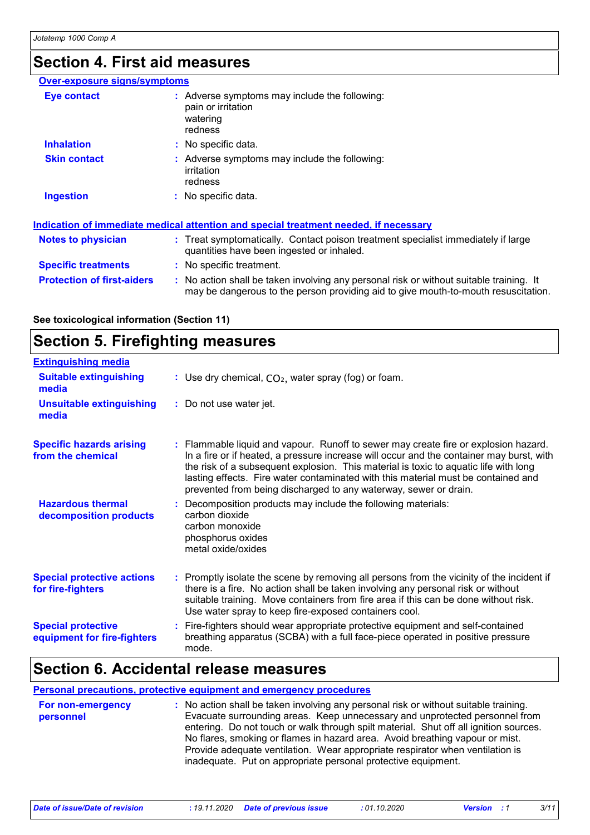# **Section 4. First aid measures**

| <b>Over-exposure signs/symptoms</b> |                                                                                                                                                                               |
|-------------------------------------|-------------------------------------------------------------------------------------------------------------------------------------------------------------------------------|
| Eye contact                         | $:$ Adverse symptoms may include the following:<br>pain or irritation<br>watering<br>redness                                                                                  |
| <b>Inhalation</b>                   | : No specific data.                                                                                                                                                           |
| <b>Skin contact</b>                 | : Adverse symptoms may include the following:<br>irritation<br>redness                                                                                                        |
| <b>Ingestion</b>                    | $:$ No specific data.                                                                                                                                                         |
|                                     | Indication of immediate medical attention and special treatment needed, if necessary                                                                                          |
| <b>Notes to physician</b>           | : Treat symptomatically. Contact poison treatment specialist immediately if large<br>quantities have been ingested or inhaled.                                                |
| <b>Specific treatments</b>          | : No specific treatment.                                                                                                                                                      |
| <b>Protection of first-aiders</b>   | : No action shall be taken involving any personal risk or without suitable training. It<br>may be dangerous to the person providing aid to give mouth-to-mouth resuscitation. |

**See toxicological information (Section 11)**

## **Section 5. Firefighting measures**

| <b>Extinguishing media</b>                               |                                                                                                                                                                                                                                                                                                                                                                                                                                  |
|----------------------------------------------------------|----------------------------------------------------------------------------------------------------------------------------------------------------------------------------------------------------------------------------------------------------------------------------------------------------------------------------------------------------------------------------------------------------------------------------------|
| <b>Suitable extinguishing</b><br>media                   | : Use dry chemical, $CO2$ , water spray (fog) or foam.                                                                                                                                                                                                                                                                                                                                                                           |
| <b>Unsuitable extinguishing</b><br>media                 | : Do not use water jet.                                                                                                                                                                                                                                                                                                                                                                                                          |
| <b>Specific hazards arising</b><br>from the chemical     | : Flammable liquid and vapour. Runoff to sewer may create fire or explosion hazard.<br>In a fire or if heated, a pressure increase will occur and the container may burst, with<br>the risk of a subsequent explosion. This material is toxic to aquatic life with long<br>lasting effects. Fire water contaminated with this material must be contained and<br>prevented from being discharged to any waterway, sewer or drain. |
| <b>Hazardous thermal</b><br>decomposition products       | : Decomposition products may include the following materials:<br>carbon dioxide<br>carbon monoxide<br>phosphorus oxides<br>metal oxide/oxides                                                                                                                                                                                                                                                                                    |
| <b>Special protective actions</b><br>for fire-fighters   | : Promptly isolate the scene by removing all persons from the vicinity of the incident if<br>there is a fire. No action shall be taken involving any personal risk or without<br>suitable training. Move containers from fire area if this can be done without risk.<br>Use water spray to keep fire-exposed containers cool.                                                                                                    |
| <b>Special protective</b><br>equipment for fire-fighters | : Fire-fighters should wear appropriate protective equipment and self-contained<br>breathing apparatus (SCBA) with a full face-piece operated in positive pressure<br>mode.                                                                                                                                                                                                                                                      |

### **Section 6. Accidental release measures**

### **Personal precautions, protective equipment and emergency procedures**

| For non-emergency | : No action shall be taken involving any personal risk or without suitable training.  |
|-------------------|---------------------------------------------------------------------------------------|
| personnel         | Evacuate surrounding areas. Keep unnecessary and unprotected personnel from           |
|                   | entering. Do not touch or walk through spilt material. Shut off all ignition sources. |
|                   | No flares, smoking or flames in hazard area. Avoid breathing vapour or mist.          |
|                   | Provide adequate ventilation. Wear appropriate respirator when ventilation is         |
|                   | inadequate. Put on appropriate personal protective equipment.                         |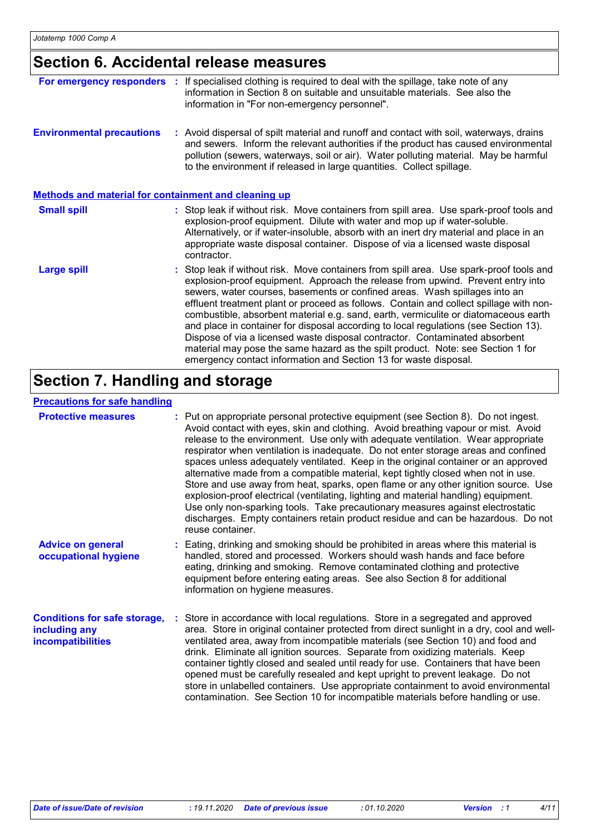## **Section 6. Accidental release measures**

| For emergency responders                             | If specialised clothing is required to deal with the spillage, take note of any<br>information in Section 8 on suitable and unsuitable materials. See also the<br>information in "For non-emergency personnel".                                                                                                                                                                                                                                                                                                                                                                                                                                                                                                                                                         |
|------------------------------------------------------|-------------------------------------------------------------------------------------------------------------------------------------------------------------------------------------------------------------------------------------------------------------------------------------------------------------------------------------------------------------------------------------------------------------------------------------------------------------------------------------------------------------------------------------------------------------------------------------------------------------------------------------------------------------------------------------------------------------------------------------------------------------------------|
| <b>Environmental precautions</b>                     | : Avoid dispersal of spilt material and runoff and contact with soil, waterways, drains<br>and sewers. Inform the relevant authorities if the product has caused environmental<br>pollution (sewers, waterways, soil or air). Water polluting material. May be harmful<br>to the environment if released in large quantities. Collect spillage.                                                                                                                                                                                                                                                                                                                                                                                                                         |
| Methods and material for containment and cleaning up |                                                                                                                                                                                                                                                                                                                                                                                                                                                                                                                                                                                                                                                                                                                                                                         |
| <b>Small spill</b>                                   | : Stop leak if without risk. Move containers from spill area. Use spark-proof tools and<br>explosion-proof equipment. Dilute with water and mop up if water-soluble.<br>Alternatively, or if water-insoluble, absorb with an inert dry material and place in an<br>appropriate waste disposal container. Dispose of via a licensed waste disposal<br>contractor.                                                                                                                                                                                                                                                                                                                                                                                                        |
| <b>Large spill</b>                                   | : Stop leak if without risk. Move containers from spill area. Use spark-proof tools and<br>explosion-proof equipment. Approach the release from upwind. Prevent entry into<br>sewers, water courses, basements or confined areas. Wash spillages into an<br>effluent treatment plant or proceed as follows. Contain and collect spillage with non-<br>combustible, absorbent material e.g. sand, earth, vermiculite or diatomaceous earth<br>and place in container for disposal according to local regulations (see Section 13).<br>Dispose of via a licensed waste disposal contractor. Contaminated absorbent<br>material may pose the same hazard as the spilt product. Note: see Section 1 for<br>emergency contact information and Section 13 for waste disposal. |

# **Section 7. Handling and storage**

### **Precautions for safe handling**

| <b>Protective measures</b>                                                       | : Put on appropriate personal protective equipment (see Section 8). Do not ingest.<br>Avoid contact with eyes, skin and clothing. Avoid breathing vapour or mist. Avoid<br>release to the environment. Use only with adequate ventilation. Wear appropriate<br>respirator when ventilation is inadequate. Do not enter storage areas and confined<br>spaces unless adequately ventilated. Keep in the original container or an approved<br>alternative made from a compatible material, kept tightly closed when not in use.<br>Store and use away from heat, sparks, open flame or any other ignition source. Use<br>explosion-proof electrical (ventilating, lighting and material handling) equipment.<br>Use only non-sparking tools. Take precautionary measures against electrostatic<br>discharges. Empty containers retain product residue and can be hazardous. Do not<br>reuse container. |
|----------------------------------------------------------------------------------|-----------------------------------------------------------------------------------------------------------------------------------------------------------------------------------------------------------------------------------------------------------------------------------------------------------------------------------------------------------------------------------------------------------------------------------------------------------------------------------------------------------------------------------------------------------------------------------------------------------------------------------------------------------------------------------------------------------------------------------------------------------------------------------------------------------------------------------------------------------------------------------------------------|
| <b>Advice on general</b><br>occupational hygiene                                 | : Eating, drinking and smoking should be prohibited in areas where this material is<br>handled, stored and processed. Workers should wash hands and face before<br>eating, drinking and smoking. Remove contaminated clothing and protective<br>equipment before entering eating areas. See also Section 8 for additional<br>information on hygiene measures.                                                                                                                                                                                                                                                                                                                                                                                                                                                                                                                                       |
| <b>Conditions for safe storage,</b><br>including any<br><b>incompatibilities</b> | Store in accordance with local regulations. Store in a segregated and approved<br>area. Store in original container protected from direct sunlight in a dry, cool and well-<br>ventilated area, away from incompatible materials (see Section 10) and food and<br>drink. Eliminate all ignition sources. Separate from oxidizing materials. Keep<br>container tightly closed and sealed until ready for use. Containers that have been<br>opened must be carefully resealed and kept upright to prevent leakage. Do not<br>store in unlabelled containers. Use appropriate containment to avoid environmental<br>contamination. See Section 10 for incompatible materials before handling or use.                                                                                                                                                                                                   |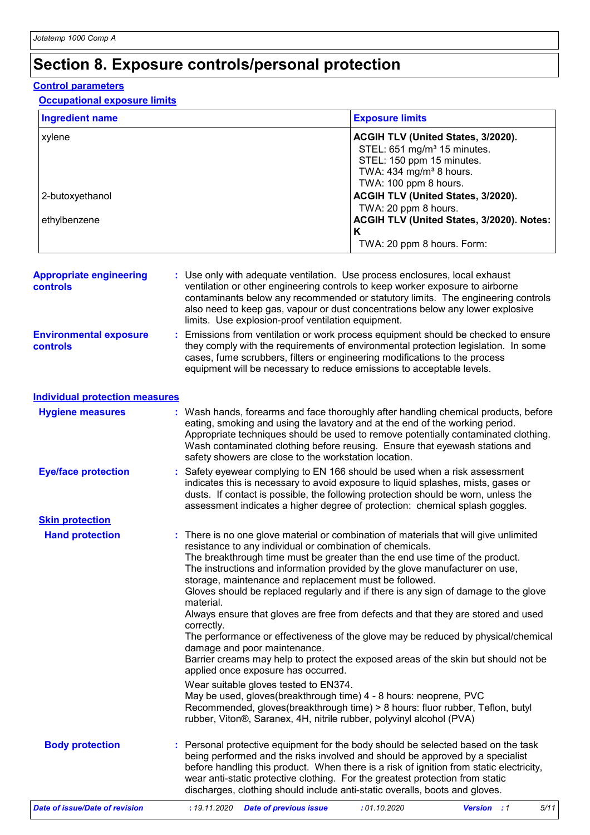# **Section 8. Exposure controls/personal protection**

### **Control parameters**

### **Occupational exposure limits**

| <b>Ingredient name</b>                            | <b>Exposure limits</b>                                                                                                                                                                                                                                                                                                                                                                                                                                                                                                                                                                                                                                                                                                                                                                                                                                                                                                                                                                                                                                                                                     |
|---------------------------------------------------|------------------------------------------------------------------------------------------------------------------------------------------------------------------------------------------------------------------------------------------------------------------------------------------------------------------------------------------------------------------------------------------------------------------------------------------------------------------------------------------------------------------------------------------------------------------------------------------------------------------------------------------------------------------------------------------------------------------------------------------------------------------------------------------------------------------------------------------------------------------------------------------------------------------------------------------------------------------------------------------------------------------------------------------------------------------------------------------------------------|
| xylene                                            | ACGIH TLV (United States, 3/2020).<br>STEL: 651 mg/m <sup>3</sup> 15 minutes.<br>STEL: 150 ppm 15 minutes.<br>TWA: $434$ mg/m <sup>3</sup> 8 hours.<br>TWA: 100 ppm 8 hours.                                                                                                                                                                                                                                                                                                                                                                                                                                                                                                                                                                                                                                                                                                                                                                                                                                                                                                                               |
| 2-butoxyethanol                                   | ACGIH TLV (United States, 3/2020).<br>TWA: 20 ppm 8 hours.                                                                                                                                                                                                                                                                                                                                                                                                                                                                                                                                                                                                                                                                                                                                                                                                                                                                                                                                                                                                                                                 |
| ethylbenzene                                      | ACGIH TLV (United States, 3/2020). Notes:<br>K                                                                                                                                                                                                                                                                                                                                                                                                                                                                                                                                                                                                                                                                                                                                                                                                                                                                                                                                                                                                                                                             |
|                                                   | TWA: 20 ppm 8 hours. Form:                                                                                                                                                                                                                                                                                                                                                                                                                                                                                                                                                                                                                                                                                                                                                                                                                                                                                                                                                                                                                                                                                 |
| <b>Appropriate engineering</b><br><b>controls</b> | : Use only with adequate ventilation. Use process enclosures, local exhaust<br>ventilation or other engineering controls to keep worker exposure to airborne<br>contaminants below any recommended or statutory limits. The engineering controls<br>also need to keep gas, vapour or dust concentrations below any lower explosive<br>limits. Use explosion-proof ventilation equipment.                                                                                                                                                                                                                                                                                                                                                                                                                                                                                                                                                                                                                                                                                                                   |
| <b>Environmental exposure</b><br><b>controls</b>  | : Emissions from ventilation or work process equipment should be checked to ensure<br>they comply with the requirements of environmental protection legislation. In some<br>cases, fume scrubbers, filters or engineering modifications to the process<br>equipment will be necessary to reduce emissions to acceptable levels.                                                                                                                                                                                                                                                                                                                                                                                                                                                                                                                                                                                                                                                                                                                                                                            |
| <b>Individual protection measures</b>             |                                                                                                                                                                                                                                                                                                                                                                                                                                                                                                                                                                                                                                                                                                                                                                                                                                                                                                                                                                                                                                                                                                            |
| <b>Hygiene measures</b>                           | : Wash hands, forearms and face thoroughly after handling chemical products, before<br>eating, smoking and using the lavatory and at the end of the working period.<br>Appropriate techniques should be used to remove potentially contaminated clothing.<br>Wash contaminated clothing before reusing. Ensure that eyewash stations and<br>safety showers are close to the workstation location.                                                                                                                                                                                                                                                                                                                                                                                                                                                                                                                                                                                                                                                                                                          |
| <b>Eye/face protection</b>                        | : Safety eyewear complying to EN 166 should be used when a risk assessment<br>indicates this is necessary to avoid exposure to liquid splashes, mists, gases or<br>dusts. If contact is possible, the following protection should be worn, unless the<br>assessment indicates a higher degree of protection: chemical splash goggles.                                                                                                                                                                                                                                                                                                                                                                                                                                                                                                                                                                                                                                                                                                                                                                      |
| <b>Skin protection</b>                            |                                                                                                                                                                                                                                                                                                                                                                                                                                                                                                                                                                                                                                                                                                                                                                                                                                                                                                                                                                                                                                                                                                            |
| <b>Hand protection</b>                            | : There is no one glove material or combination of materials that will give unlimited<br>resistance to any individual or combination of chemicals.<br>The breakthrough time must be greater than the end use time of the product.<br>The instructions and information provided by the glove manufacturer on use,<br>storage, maintenance and replacement must be followed.<br>Gloves should be replaced regularly and if there is any sign of damage to the glove<br>material.<br>Always ensure that gloves are free from defects and that they are stored and used<br>correctly.<br>The performance or effectiveness of the glove may be reduced by physical/chemical<br>damage and poor maintenance.<br>Barrier creams may help to protect the exposed areas of the skin but should not be<br>applied once exposure has occurred.<br>Wear suitable gloves tested to EN374.<br>May be used, gloves(breakthrough time) 4 - 8 hours: neoprene, PVC<br>Recommended, gloves(breakthrough time) > 8 hours: fluor rubber, Teflon, butyl<br>rubber, Viton®, Saranex, 4H, nitrile rubber, polyvinyl alcohol (PVA) |
| <b>Body protection</b>                            | : Personal protective equipment for the body should be selected based on the task<br>being performed and the risks involved and should be approved by a specialist<br>before handling this product. When there is a risk of ignition from static electricity,<br>wear anti-static protective clothing. For the greatest protection from static<br>discharges, clothing should include anti-static overalls, boots and gloves.                                                                                                                                                                                                                                                                                                                                                                                                                                                                                                                                                                                                                                                                              |
| <b>Date of issue/Date of revision</b>             | :01.10.2020<br>5/11<br>: 19.11.2020 Date of previous issue<br><b>Version</b> : 1                                                                                                                                                                                                                                                                                                                                                                                                                                                                                                                                                                                                                                                                                                                                                                                                                                                                                                                                                                                                                           |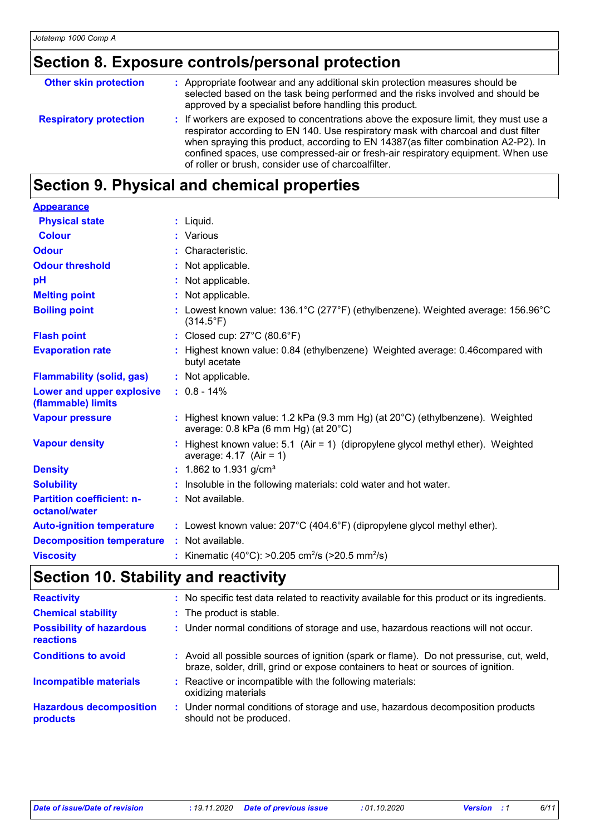# **Section 8. Exposure controls/personal protection**

| : If workers are exposed to concentrations above the exposure limit, they must use a<br><b>Respiratory protection</b><br>respirator according to EN 140. Use respiratory mask with charcoal and dust filter<br>when spraying this product, according to EN 14387(as filter combination A2-P2). In<br>confined spaces, use compressed-air or fresh-air respiratory equipment. When use<br>of roller or brush, consider use of charcoalfilter. | <b>Other skin protection</b> | : Appropriate footwear and any additional skin protection measures should be<br>selected based on the task being performed and the risks involved and should be<br>approved by a specialist before handling this product. |
|----------------------------------------------------------------------------------------------------------------------------------------------------------------------------------------------------------------------------------------------------------------------------------------------------------------------------------------------------------------------------------------------------------------------------------------------|------------------------------|---------------------------------------------------------------------------------------------------------------------------------------------------------------------------------------------------------------------------|
|                                                                                                                                                                                                                                                                                                                                                                                                                                              |                              |                                                                                                                                                                                                                           |

## **Section 9. Physical and chemical properties**

| <b>Appearance</b>                                 |                                                                                                                                             |
|---------------------------------------------------|---------------------------------------------------------------------------------------------------------------------------------------------|
| <b>Physical state</b>                             | $:$ Liquid.                                                                                                                                 |
| <b>Colour</b>                                     | : Various                                                                                                                                   |
| <b>Odour</b>                                      | $:$ Characteristic.                                                                                                                         |
| <b>Odour threshold</b>                            | : Not applicable.                                                                                                                           |
| pH                                                | : Not applicable.                                                                                                                           |
| <b>Melting point</b>                              | : Not applicable.                                                                                                                           |
| <b>Boiling point</b>                              | : Lowest known value: $136.1^{\circ}$ C (277°F) (ethylbenzene). Weighted average: $156.96^{\circ}$ C<br>$(314.5^{\circ}F)$                  |
| <b>Flash point</b>                                | : Closed cup: $27^{\circ}$ C (80.6 $^{\circ}$ F)                                                                                            |
| <b>Evaporation rate</b>                           | : Highest known value: 0.84 (ethylbenzene) Weighted average: 0.46 compared with<br>butyl acetate                                            |
| <b>Flammability (solid, gas)</b>                  | : Not applicable.                                                                                                                           |
| Lower and upper explosive<br>(flammable) limits   | $: 0.8 - 14\%$                                                                                                                              |
| <b>Vapour pressure</b>                            | : Highest known value: 1.2 kPa (9.3 mm Hg) (at $20^{\circ}$ C) (ethylbenzene). Weighted<br>average: $0.8$ kPa (6 mm Hg) (at $20^{\circ}$ C) |
| <b>Vapour density</b>                             | : Highest known value: 5.1 (Air = 1) (dipropylene glycol methyl ether). Weighted<br>average: $4.17$ (Air = 1)                               |
| <b>Density</b>                                    | : 1.862 to 1.931 g/cm <sup>3</sup>                                                                                                          |
| <b>Solubility</b>                                 | : Insoluble in the following materials: cold water and hot water.                                                                           |
| <b>Partition coefficient: n-</b><br>octanol/water | : Not available.                                                                                                                            |
| <b>Auto-ignition temperature</b>                  | : Lowest known value: $207^{\circ}$ C (404.6°F) (dipropylene glycol methyl ether).                                                          |
| <b>Decomposition temperature</b>                  | : Not available.                                                                                                                            |
| <b>Viscosity</b>                                  | : Kinematic (40°C): >0.205 cm <sup>2</sup> /s (>20.5 mm <sup>2</sup> /s)                                                                    |

# **Section 10. Stability and reactivity**

| <b>Reactivity</b>                            | : No specific test data related to reactivity available for this product or its ingredients.                                                                                 |
|----------------------------------------------|------------------------------------------------------------------------------------------------------------------------------------------------------------------------------|
| <b>Chemical stability</b>                    | : The product is stable.                                                                                                                                                     |
| <b>Possibility of hazardous</b><br>reactions | : Under normal conditions of storage and use, hazardous reactions will not occur.                                                                                            |
| <b>Conditions to avoid</b>                   | : Avoid all possible sources of ignition (spark or flame). Do not pressurise, cut, weld,<br>braze, solder, drill, grind or expose containers to heat or sources of ignition. |
| <b>Incompatible materials</b>                | : Reactive or incompatible with the following materials:<br>oxidizing materials                                                                                              |
| <b>Hazardous decomposition</b><br>products   | : Under normal conditions of storage and use, hazardous decomposition products<br>should not be produced.                                                                    |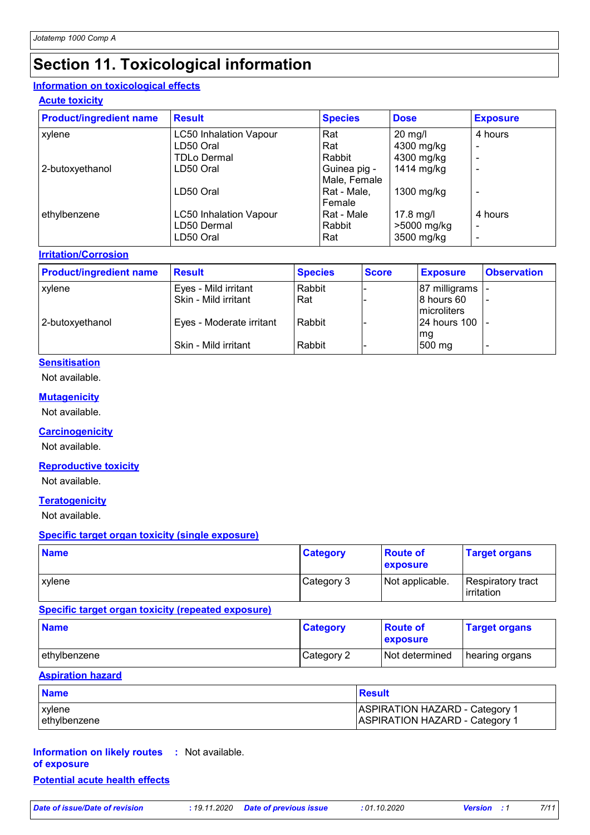## **Section 11. Toxicological information**

### **Information on toxicological effects**

#### **Acute toxicity**

| <b>Product/ingredient name</b> | <b>Result</b>                 | <b>Species</b> | <b>Dose</b> | <b>Exposure</b> |
|--------------------------------|-------------------------------|----------------|-------------|-----------------|
| xylene                         | <b>LC50 Inhalation Vapour</b> | Rat            | $20$ mg/l   | 4 hours         |
|                                | LD50 Oral                     | Rat            | 4300 mg/kg  | $\equiv$        |
|                                | <b>TDLo Dermal</b>            | Rabbit         | 4300 mg/kg  |                 |
| 2-butoxyethanol                | LD50 Oral                     | Guinea pig -   | 1414 mg/kg  |                 |
|                                |                               | Male, Female   |             |                 |
|                                | LD50 Oral                     | Rat - Male.    | 1300 mg/kg  |                 |
|                                |                               | Female         |             |                 |
| ethylbenzene                   | <b>LC50 Inhalation Vapour</b> | Rat - Male     | 17.8 mg/l   | 4 hours         |
|                                | LD50 Dermal                   | Rabbit         | >5000 mg/kg | $\equiv$        |
|                                | LD50 Oral                     | Rat            | 3500 mg/kg  |                 |

#### **Irritation/Corrosion**

| <b>Product/ingredient name</b> | <b>Result</b>            | <b>Species</b> | <b>Score</b> | <b>Exposure</b>            | <b>Observation</b> |
|--------------------------------|--------------------------|----------------|--------------|----------------------------|--------------------|
| xylene                         | Eyes - Mild irritant     | Rabbit         |              | 87 milligrams              |                    |
|                                | Skin - Mild irritant     | Rat            |              | 8 hours 60<br>Imicroliters |                    |
| 2-butoxyethanol                | Eyes - Moderate irritant | Rabbit         |              | 24 hours 100<br>mg         |                    |
|                                | Skin - Mild irritant     | Rabbit         |              | 500 mg                     |                    |

### **Sensitisation**

Not available.

#### **Mutagenicity**

Not available.

#### **Carcinogenicity**

Not available.

### **Reproductive toxicity**

Not available.

#### **Teratogenicity**

Not available.

#### **Specific target organ toxicity (single exposure)**

| <b>Name</b> | <b>Category</b> | <b>Route of</b><br>exposure | <b>Target organs</b>              |
|-------------|-----------------|-----------------------------|-----------------------------------|
| xvlene      | Category 3      | Not applicable.             | Respiratory tract<br>l irritation |

#### **Specific target organ toxicity (repeated exposure)**

| <b>Name</b>  | <b>Category</b> | <b>Boute of</b><br><b>Exposure</b> | <b>Target organs</b> |
|--------------|-----------------|------------------------------------|----------------------|
| ethylbenzene | Category 2      | <b>Not determined</b>              | hearing organs       |

#### **Aspiration hazard**

| <b>Name</b>  | <b>Result</b>                         |
|--------------|---------------------------------------|
| l xvlene     | <b>ASPIRATION HAZARD - Category 1</b> |
| ethylbenzene | <b>ASPIRATION HAZARD - Category 1</b> |

#### **Information on likely routes :** Not available. **of exposure Potential acute health effects**

*Date of issue/Date of revision* **:** *19.11.2020 Date of previous issue : 01.10.2020 Version : 1 7/11*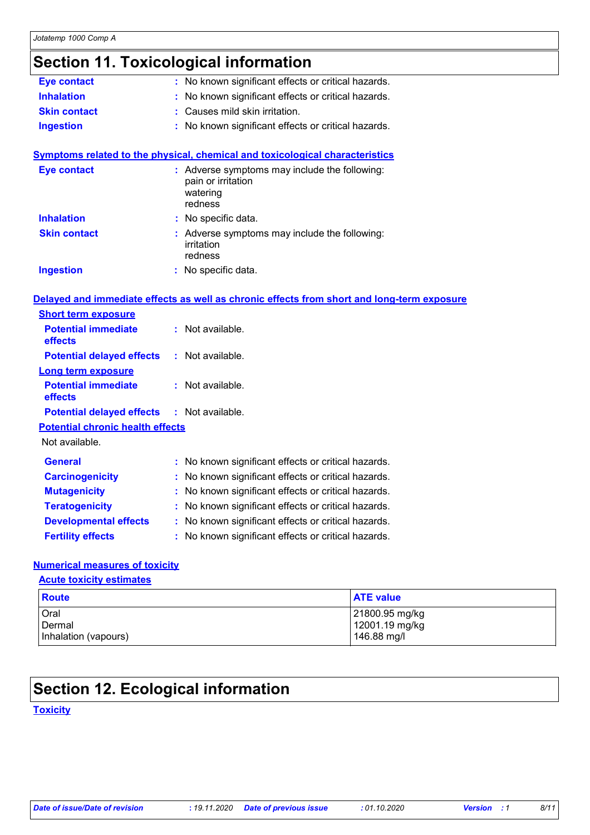# **Section 11. Toxicological information**

| <b>Eye contact</b>                      | : No known significant effects or critical hazards.                                        |  |
|-----------------------------------------|--------------------------------------------------------------------------------------------|--|
| <b>Inhalation</b>                       | No known significant effects or critical hazards.                                          |  |
| <b>Skin contact</b>                     | Causes mild skin irritation.                                                               |  |
| <b>Ingestion</b>                        | : No known significant effects or critical hazards.                                        |  |
|                                         |                                                                                            |  |
|                                         | <b>Symptoms related to the physical, chemical and toxicological characteristics</b>        |  |
| <b>Eye contact</b>                      | : Adverse symptoms may include the following:<br>pain or irritation<br>watering<br>redness |  |
| <b>Inhalation</b>                       | : No specific data.                                                                        |  |
| <b>Skin contact</b>                     | : Adverse symptoms may include the following:<br>irritation<br>redness                     |  |
| <b>Ingestion</b>                        | : No specific data.                                                                        |  |
|                                         | Delayed and immediate effects as well as chronic effects from short and long-term exposure |  |
| <b>Short term exposure</b>              |                                                                                            |  |
| <b>Potential immediate</b><br>effects   | : Not available.                                                                           |  |
| <b>Potential delayed effects</b>        | : Not available.                                                                           |  |
| <b>Long term exposure</b>               |                                                                                            |  |
| <b>Potential immediate</b><br>effects   | : Not available.                                                                           |  |
| <b>Potential delayed effects</b>        | : Not available.                                                                           |  |
| <b>Potential chronic health effects</b> |                                                                                            |  |
| Not available.                          |                                                                                            |  |
| General                                 | : No known significant effects or critical hazards.                                        |  |
| <b>Carcinogenicity</b>                  | No known significant effects or critical hazards.                                          |  |
| <b>Mutagenicity</b>                     | No known significant effects or critical hazards.                                          |  |
| <b>Teratogenicity</b>                   | : No known significant effects or critical hazards.                                        |  |
| <b>Developmental effects</b>            | : No known significant effects or critical hazards.                                        |  |
| <b>Fertility effects</b>                | : No known significant effects or critical hazards.                                        |  |

#### **Numerical measures of toxicity**

#### **Acute toxicity estimates**

| <b>Route</b>         | <b>ATE value</b> |
|----------------------|------------------|
| Oral                 | 21800.95 mg/kg   |
| Dermal               | 12001.19 mg/kg   |
| Inhalation (vapours) | 146.88 mg/l      |

## **Section 12. Ecological information**

### **Toxicity**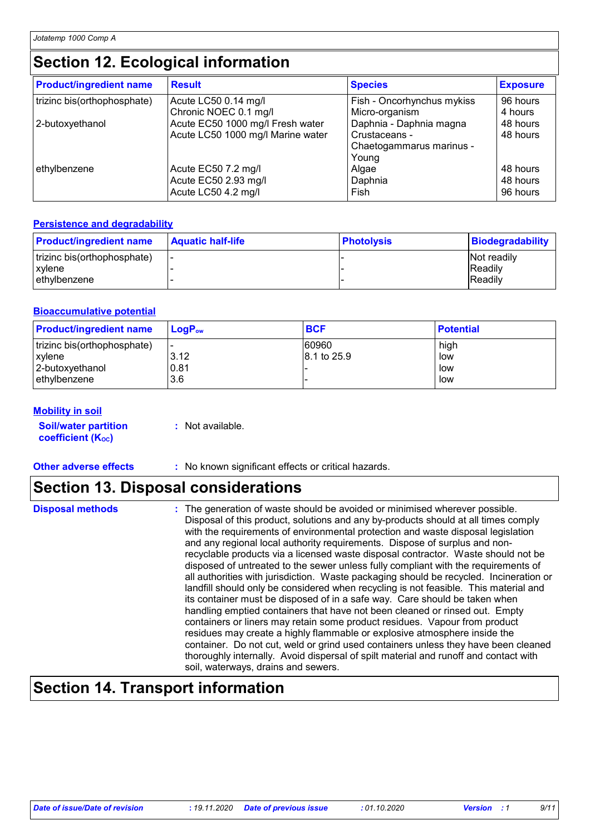## **Section 12. Ecological information**

| <b>Product/ingredient name</b> | <b>Result</b>                     | <b>Species</b>                             | <b>Exposure</b> |
|--------------------------------|-----------------------------------|--------------------------------------------|-----------------|
| trizinc bis(orthophosphate)    | Acute LC50 0.14 mg/l              | Fish - Oncorhynchus mykiss                 | 96 hours        |
|                                | Chronic NOEC 0.1 mg/l             | Micro-organism                             | 4 hours         |
| 2-butoxyethanol                | Acute EC50 1000 mg/l Fresh water  | Daphnia - Daphnia magna                    | 48 hours        |
|                                | Acute LC50 1000 mg/l Marine water | Crustaceans -                              | 48 hours        |
| ethylbenzene                   | Acute EC50 7.2 mg/l               | Chaetogammarus marinus -<br>Young<br>Algae | 48 hours        |
|                                | Acute EC50 2.93 mg/l              | Daphnia                                    | 48 hours        |
|                                | Acute LC50 4.2 mg/l               | Fish                                       | 96 hours        |

### **Persistence and degradability**

| <b>Product/ingredient name</b> | <b>Aquatic half-life</b> | <b>Photolysis</b> | <b>Biodegradability</b> |
|--------------------------------|--------------------------|-------------------|-------------------------|
| trizinc bis(orthophosphate)    |                          |                   | Not readily             |
| xvlene                         |                          |                   | <b>IReadily</b>         |
| l ethvlbenzene                 |                          |                   | <b>IReadily</b>         |

#### **Bioaccumulative potential**

| <b>Product/ingredient name</b> | $LoaPow$ | <b>BCF</b>  | <b>Potential</b> |
|--------------------------------|----------|-------------|------------------|
| trizinc bis(orthophosphate)    | 3.12     | 60960       | high             |
| xylene                         |          | 8.1 to 25.9 | low              |
| 2-butoxyethanol                | 0.81     |             | low              |
| l ethvlbenzene                 | 3.6      |             | low              |

#### **Mobility in soil**

**Soil/water partition coefficient (KOC)**

**:** Not available.

**Other adverse effects :** No known significant effects or critical hazards.

## **Section 13. Disposal considerations**

|  | <b>Disposal methods</b> |  |
|--|-------------------------|--|
|  |                         |  |

**Disposal methods** : The generation of waste should be avoided or minimised wherever possible. Disposal of this product, solutions and any by-products should at all times comply with the requirements of environmental protection and waste disposal legislation and any regional local authority requirements. Dispose of surplus and nonrecyclable products via a licensed waste disposal contractor. Waste should not be disposed of untreated to the sewer unless fully compliant with the requirements of all authorities with jurisdiction. Waste packaging should be recycled. Incineration or landfill should only be considered when recycling is not feasible. This material and its container must be disposed of in a safe way. Care should be taken when handling emptied containers that have not been cleaned or rinsed out. Empty containers or liners may retain some product residues. Vapour from product residues may create a highly flammable or explosive atmosphere inside the container. Do not cut, weld or grind used containers unless they have been cleaned thoroughly internally. Avoid dispersal of spilt material and runoff and contact with soil, waterways, drains and sewers.

## **Section 14. Transport information**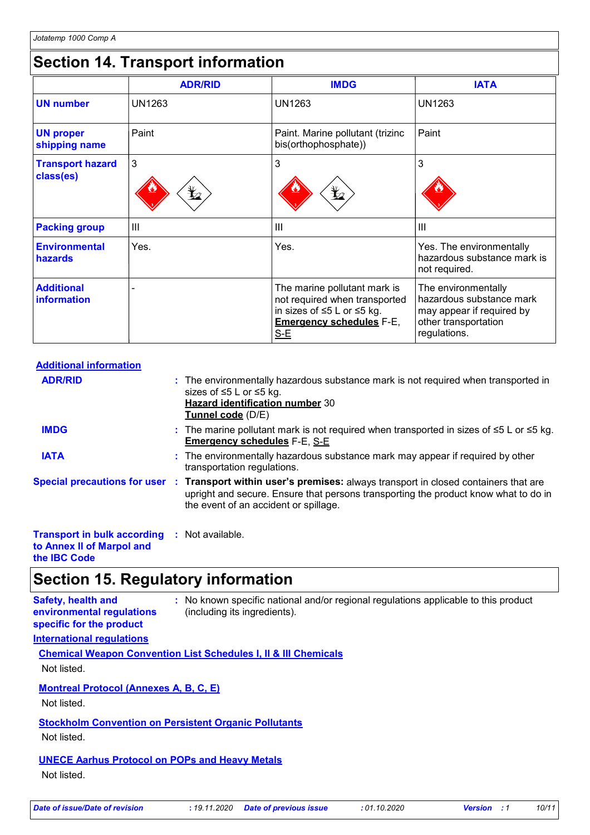## **Section 14. Transport information**

|                                         | <b>ADR/RID</b> | <b>IMDG</b>                                                                                                                             | <b>IATA</b>                                                                                                          |
|-----------------------------------------|----------------|-----------------------------------------------------------------------------------------------------------------------------------------|----------------------------------------------------------------------------------------------------------------------|
| <b>UN number</b>                        | <b>UN1263</b>  | <b>UN1263</b>                                                                                                                           | <b>UN1263</b>                                                                                                        |
| <b>UN proper</b><br>shipping name       | Paint          | Paint. Marine pollutant (trizinc<br>bis(orthophosphate))                                                                                | Paint                                                                                                                |
| <b>Transport hazard</b><br>class(es)    | 3<br>$\bigvee$ | 3<br>$\mathbf{\mathbf{\mathbf{\mathbf{\mathbf{\mathbf{\mathbf{Y}}}}}}$                                                                  | 3                                                                                                                    |
| <b>Packing group</b>                    | III            | III                                                                                                                                     | $\mathbf{III}$                                                                                                       |
| <b>Environmental</b><br>hazards         | Yes.           | Yes.                                                                                                                                    | Yes. The environmentally<br>hazardous substance mark is<br>not required.                                             |
| <b>Additional</b><br><b>information</b> |                | The marine pollutant mark is<br>not required when transported<br>in sizes of ≤5 L or ≤5 kg.<br><b>Emergency schedules F-E,</b><br>$S-E$ | The environmentally<br>hazardous substance mark<br>may appear if required by<br>other transportation<br>regulations. |

| <b>Additional information</b>                            |                                                                                                                                                                                                                                                 |
|----------------------------------------------------------|-------------------------------------------------------------------------------------------------------------------------------------------------------------------------------------------------------------------------------------------------|
| <b>ADR/RID</b>                                           | : The environmentally hazardous substance mark is not required when transported in<br>sizes of ≤5 L or ≤5 kg.<br><b>Hazard identification number 30</b><br>Tunnel code (D/E)                                                                    |
| <b>IMDG</b>                                              | : The marine pollutant mark is not required when transported in sizes of $\leq 5$ L or $\leq 5$ kg.<br><b>Emergency schedules F-E, S-E</b>                                                                                                      |
| <b>IATA</b>                                              | : The environmentally hazardous substance mark may appear if required by other<br>transportation regulations.                                                                                                                                   |
|                                                          | Special precautions for user : Transport within user's premises: always transport in closed containers that are<br>upright and secure. Ensure that persons transporting the product know what to do in<br>the event of an accident or spillage. |
| <b>Transport in bulk according : Not available.</b><br>. |                                                                                                                                                                                                                                                 |

**to Annex II of Marpol and the IBC Code**

## **Section 15. Regulatory information**

| <b>Safety, health and</b><br>environmental regulations<br>specific for the product | : No known specific national and/or regional regulations applicable to this product<br>(including its ingredients). |
|------------------------------------------------------------------------------------|---------------------------------------------------------------------------------------------------------------------|
| <b>International requlations</b>                                                   |                                                                                                                     |

**Chemical Weapon Convention List Schedules I, II & III Chemicals** Not listed.

**Montreal Protocol (Annexes A, B, C, E)**

Not listed.

**Stockholm Convention on Persistent Organic Pollutants**

Not listed.

### **UNECE Aarhus Protocol on POPs and Heavy Metals**

Not listed.